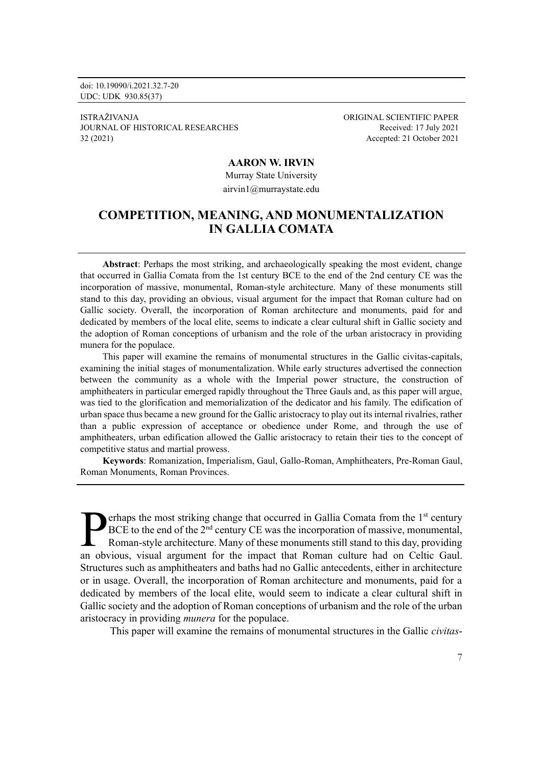doi: 10.19090/i.2021.32.7-20 UDC: UDK 930.85(37)

ISTRAŽIVANJA ORIGINAL SCIENTIFIC PAPER JOURNAL OF HISTORICAL RESEARCHES Received: 17 July 2021 32 (2021) Accepted: 21 October 2021

### **AARON W. IRVIN**

Murray State University airvin1@murraystate.edu

# **COMPETITION, MEANING, AND MONUMENTALIZATION IN GALLIA COMATA**

**Abstract**: Perhaps the most striking, and archaeologically speaking the most evident, change that occurred in Gallia Comata from the 1st century BCE to the end of the 2nd century CE was the incorporation of massive, monumental, Roman-style architecture. Many of these monuments still stand to this day, providing an obvious, visual argument for the impact that Roman culture had on Gallic society. Overall, the incorporation of Roman architecture and monuments, paid for and dedicated by members of the local elite, seems to indicate a clear cultural shift in Gallic society and the adoption of Roman conceptions of urbanism and the role of the urban aristocracy in providing munera for the populace.

This paper will examine the remains of monumental structures in the Gallic civitas-capitals, examining the initial stages of monumentalization. While early structures advertised the connection between the community as a whole with the Imperial power structure, the construction of amphitheaters in particular emerged rapidly throughout the Three Gauls and, as this paper will argue, was tied to the glorification and memorialization of the dedicator and his family. The edification of urban space thus became a new ground for the Gallic aristocracy to play out its internal rivalries, rather than a public expression of acceptance or obedience under Rome, and through the use of amphitheaters, urban edification allowed the Gallic aristocracy to retain their ties to the concept of competitive status and martial prowess.

**Keywords**: Romanization, Imperialism, Gaul, Gallo-Roman, Amphitheaters, Pre-Roman Gaul, Roman Monuments, Roman Provinces.

erhaps the most striking change that occurred in Gallia Comata from the  $1<sup>st</sup>$  century BCE to the end of the 2<sup>nd</sup> century CE was the incorporation of massive, monumental, Roman-style architecture. Many of these monuments still stand to this day, providing **EXET ALTER IS ON THE ISSUE TO A CONTROVE THE ISLAM CONTROVED THE ISLAM CONTROVED TO A ROMAN SET A ROMAN STATE ROW AND A ROMAN CONTROVED AND A ROW ON CONTROVED AND A SURVEYOR AND A SURVEYOR AND A CONTROVED AND A SURVEYOR A** Structures such as amphitheaters and baths had no Gallic antecedents, either in architecture or in usage. Overall, the incorporation of Roman architecture and monuments, paid for a dedicated by members of the local elite, would seem to indicate a clear cultural shift in Gallic society and the adoption of Roman conceptions of urbanism and the role of the urban aristocracy in providing *munera* for the populace.

This paper will examine the remains of monumental structures in the Gallic *civitas*-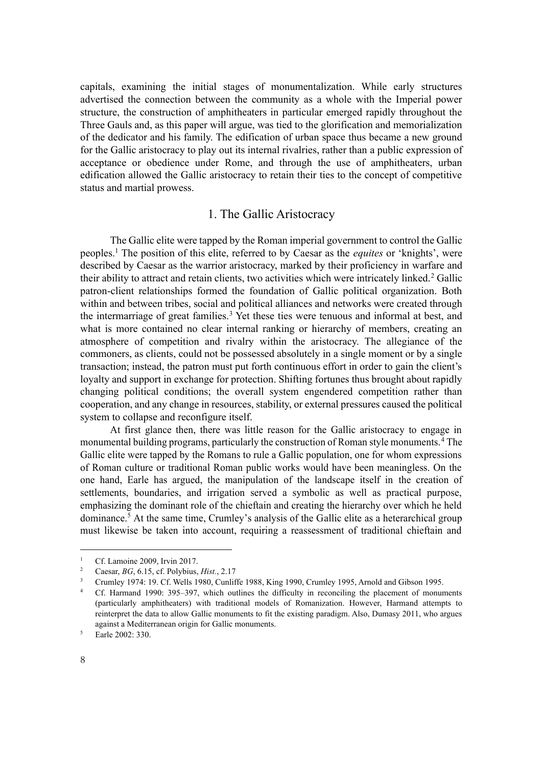capitals, examining the initial stages of monumentalization. While early structures advertised the connection between the community as a whole with the Imperial power structure, the construction of amphitheaters in particular emerged rapidly throughout the Three Gauls and, as this paper will argue, was tied to the glorification and memorialization of the dedicator and his family. The edification of urban space thus became a new ground for the Gallic aristocracy to play out its internal rivalries, rather than a public expression of acceptance or obedience under Rome, and through the use of amphitheaters, urban edification allowed the Gallic aristocracy to retain their ties to the concept of competitive status and martial prowess.

### 1. The Gallic Aristocracy

The Gallic elite were tapped by the Roman imperial government to control the Gallic peoples.<sup>1</sup> The position of this elite, referred to by Caesar as the *equites* or 'knights', were described by Caesar as the warrior aristocracy, marked by their proficiency in warfare and their ability to attract and retain clients, two activities which were intricately linked.<sup>2</sup> Gallic patron-client relationships formed the foundation of Gallic political organization. Both within and between tribes, social and political alliances and networks were created through the intermarriage of great families.<sup>3</sup> Yet these ties were tenuous and informal at best, and what is more contained no clear internal ranking or hierarchy of members, creating an atmosphere of competition and rivalry within the aristocracy. The allegiance of the commoners, as clients, could not be possessed absolutely in a single moment or by a single transaction; instead, the patron must put forth continuous effort in order to gain the client's loyalty and support in exchange for protection. Shifting fortunes thus brought about rapidly changing political conditions; the overall system engendered competition rather than cooperation, and any change in resources, stability, or external pressures caused the political system to collapse and reconfigure itself.

At first glance then, there was little reason for the Gallic aristocracy to engage in monumental building programs, particularly the construction of Roman style monuments.<sup>4</sup> The Gallic elite were tapped by the Romans to rule a Gallic population, one for whom expressions of Roman culture or traditional Roman public works would have been meaningless. On the one hand, Earle has argued, the manipulation of the landscape itself in the creation of settlements, boundaries, and irrigation served a symbolic as well as practical purpose, emphasizing the dominant role of the chieftain and creating the hierarchy over which he held dominance.<sup>5</sup> At the same time, Crumley's analysis of the Gallic elite as a heterarchical group must likewise be taken into account, requiring a reassessment of traditional chieftain and

<sup>&</sup>lt;sup>1</sup> Cf. Lamoine 2009, Irvin 2017.

<sup>2</sup> Caesar, *BG*, 6.15, cf. Polybius, *Hist.*, 2.17

<sup>3</sup> Crumley 1974: 19. Cf. Wells 1980, Cunliffe 1988, King 1990, Crumley 1995, Arnold and Gibson 1995.

<sup>&</sup>lt;sup>4</sup> Cf. Harmand 1990: 395–397, which outlines the difficulty in reconciling the placement of monuments (particularly amphitheaters) with traditional models of Romanization. However, Harmand attempts to reinterpret the data to allow Gallic monuments to fit the existing paradigm. Also, Dumasy 2011, who argues against a Mediterranean origin for Gallic monuments.

<sup>&</sup>lt;sup>5</sup> Earle 2002: 330.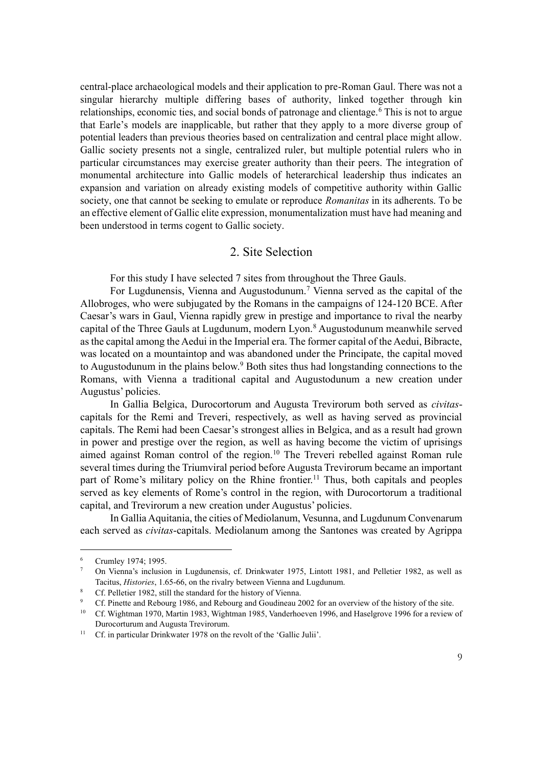central-place archaeological models and their application to pre-Roman Gaul. There was not a singular hierarchy multiple differing bases of authority, linked together through kin relationships, economic ties, and social bonds of patronage and clientage.<sup>6</sup> This is not to argue that Earle's models are inapplicable, but rather that they apply to a more diverse group of potential leaders than previous theories based on centralization and central place might allow. Gallic society presents not a single, centralized ruler, but multiple potential rulers who in particular circumstances may exercise greater authority than their peers. The integration of monumental architecture into Gallic models of heterarchical leadership thus indicates an expansion and variation on already existing models of competitive authority within Gallic society, one that cannot be seeking to emulate or reproduce *Romanitas* in its adherents. To be an effective element of Gallic elite expression, monumentalization must have had meaning and been understood in terms cogent to Gallic society.

# 2. Site Selection

For this study I have selected 7 sites from throughout the Three Gauls.

For Lugdunensis, Vienna and Augustodunum.<sup>7</sup> Vienna served as the capital of the Allobroges, who were subjugated by the Romans in the campaigns of 124-120 BCE. After Caesar's wars in Gaul, Vienna rapidly grew in prestige and importance to rival the nearby capital of the Three Gauls at Lugdunum, modern Lyon.<sup>8</sup> Augustodunum meanwhile served as the capital among the Aedui in the Imperial era. The former capital of the Aedui, Bibracte, was located on a mountaintop and was abandoned under the Principate, the capital moved to Augustodunum in the plains below.<sup>9</sup> Both sites thus had longstanding connections to the Romans, with Vienna a traditional capital and Augustodunum a new creation under Augustus' policies.

In Gallia Belgica, Durocortorum and Augusta Trevirorum both served as *civitas*capitals for the Remi and Treveri, respectively, as well as having served as provincial capitals. The Remi had been Caesar's strongest allies in Belgica, and as a result had grown in power and prestige over the region, as well as having become the victim of uprisings aimed against Roman control of the region.<sup>10</sup> The Treveri rebelled against Roman rule several times during the Triumviral period before Augusta Trevirorum became an important part of Rome's military policy on the Rhine frontier.<sup>11</sup> Thus, both capitals and peoples served as key elements of Rome's control in the region, with Durocortorum a traditional capital, and Trevirorum a new creation under Augustus' policies.

In Gallia Aquitania, the cities of Mediolanum, Vesunna, and Lugdunum Convenarum each served as *civitas*-capitals. Mediolanum among the Santones was created by Agrippa

Crumley 1974; 1995.

<sup>7</sup> On Vienna's inclusion in Lugdunensis, cf. Drinkwater 1975, Lintott 1981, and Pelletier 1982, as well as Tacitus, *Histories*, 1.65-66, on the rivalry between Vienna and Lugdunum.

<sup>&</sup>lt;sup>8</sup> Cf. Pelletier 1982, still the standard for the history of Vienna.

<sup>9</sup> Cf. Pinette and Rebourg 1986, and Rebourg and Goudineau 2002 for an overview of the history of the site.

<sup>10</sup> Cf. Wightman 1970, Martin 1983, Wightman 1985, Vanderhoeven 1996, and Haselgrove 1996 for a review of Durocorturum and Augusta Trevirorum.

<sup>&</sup>lt;sup>11</sup> Cf. in particular Drinkwater 1978 on the revolt of the 'Gallic Julii'.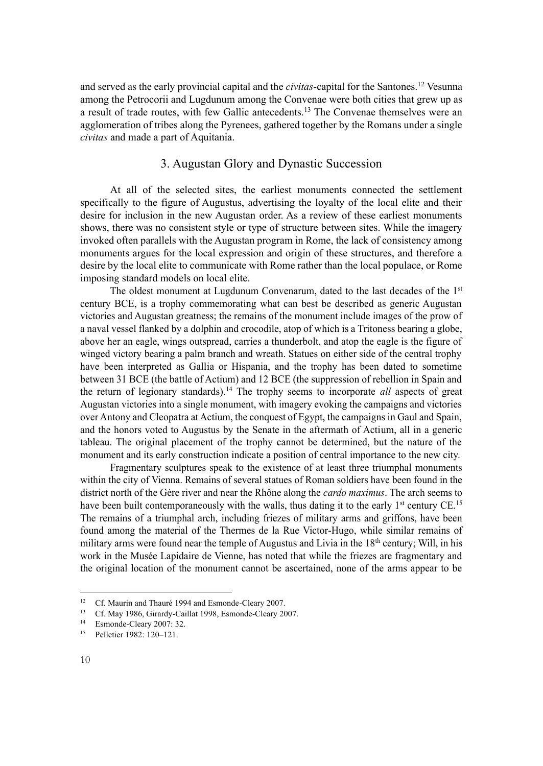and served as the early provincial capital and the *civitas*-capital for the Santones.<sup>12</sup> Vesunna among the Petrocorii and Lugdunum among the Convenae were both cities that grew up as a result of trade routes, with few Gallic antecedents.<sup>13</sup> The Convenae themselves were an agglomeration of tribes along the Pyrenees, gathered together by the Romans under a single *civitas* and made a part of Aquitania.

# 3. Augustan Glory and Dynastic Succession

At all of the selected sites, the earliest monuments connected the settlement specifically to the figure of Augustus, advertising the loyalty of the local elite and their desire for inclusion in the new Augustan order. As a review of these earliest monuments shows, there was no consistent style or type of structure between sites. While the imagery invoked often parallels with the Augustan program in Rome, the lack of consistency among monuments argues for the local expression and origin of these structures, and therefore a desire by the local elite to communicate with Rome rather than the local populace, or Rome imposing standard models on local elite.

The oldest monument at Lugdunum Convenarum, dated to the last decades of the 1<sup>st</sup> century BCE, is a trophy commemorating what can best be described as generic Augustan victories and Augustan greatness; the remains of the monument include images of the prow of a naval vessel flanked by a dolphin and crocodile, atop of which is a Tritoness bearing a globe, above her an eagle, wings outspread, carries a thunderbolt, and atop the eagle is the figure of winged victory bearing a palm branch and wreath. Statues on either side of the central trophy have been interpreted as Gallia or Hispania, and the trophy has been dated to sometime between 31 BCE (the battle of Actium) and 12 BCE (the suppression of rebellion in Spain and the return of legionary standards).<sup>14</sup> The trophy seems to incorporate *all* aspects of great Augustan victories into a single monument, with imagery evoking the campaigns and victories over Antony and Cleopatra at Actium, the conquest of Egypt, the campaigns in Gaul and Spain, and the honors voted to Augustus by the Senate in the aftermath of Actium, all in a generic tableau. The original placement of the trophy cannot be determined, but the nature of the monument and its early construction indicate a position of central importance to the new city.

Fragmentary sculptures speak to the existence of at least three triumphal monuments within the city of Vienna. Remains of several statues of Roman soldiers have been found in the district north of the Gère river and near the Rhône along the *cardo maximus*. The arch seems to have been built contemporaneously with the walls, thus dating it to the early 1<sup>st</sup> century CE.<sup>15</sup> The remains of a triumphal arch, including friezes of military arms and griffons, have been found among the material of the Thermes de la Rue Victor-Hugo, while similar remains of military arms were found near the temple of Augustus and Livia in the  $18<sup>th</sup>$  century; Will, in his work in the Musée Lapidaire de Vienne, has noted that while the friezes are fragmentary and the original location of the monument cannot be ascertained, none of the arms appear to be

<sup>&</sup>lt;sup>12</sup> Cf. Maurin and Thauré 1994 and Esmonde-Cleary 2007.

<sup>&</sup>lt;sup>13</sup> Cf. May 1986, Girardy-Caillat 1998, Esmonde-Cleary 2007.

<sup>14</sup> Esmonde-Cleary 2007: 32.

<sup>15</sup> Pelletier 1982: 120–121.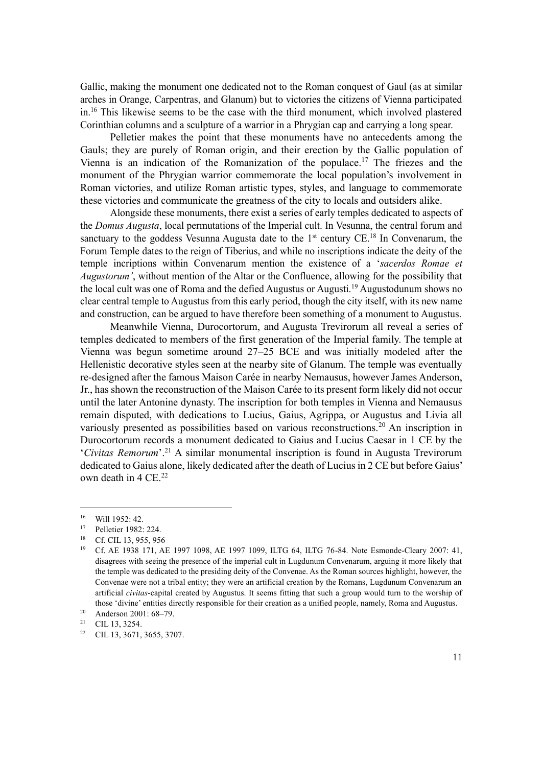Gallic, making the monument one dedicated not to the Roman conquest of Gaul (as at similar arches in Orange, Carpentras, and Glanum) but to victories the citizens of Vienna participated in.<sup>16</sup> This likewise seems to be the case with the third monument, which involved plastered Corinthian columns and a sculpture of a warrior in a Phrygian cap and carrying a long spear.

Pelletier makes the point that these monuments have no antecedents among the Gauls; they are purely of Roman origin, and their erection by the Gallic population of Vienna is an indication of the Romanization of the populace.<sup>17</sup> The friezes and the monument of the Phrygian warrior commemorate the local population's involvement in Roman victories, and utilize Roman artistic types, styles, and language to commemorate these victories and communicate the greatness of the city to locals and outsiders alike.

Alongside these monuments, there exist a series of early temples dedicated to aspects of the *Domus Augusta*, local permutations of the Imperial cult. In Vesunna, the central forum and sanctuary to the goddess Vesunna Augusta date to the  $1<sup>st</sup>$  century CE.<sup>18</sup> In Convenarum, the Forum Temple dates to the reign of Tiberius, and while no inscriptions indicate the deity of the temple incriptions within Convenarum mention the existence of a '*sacerdos Romae et Augustorum'*, without mention of the Altar or the Confluence, allowing for the possibility that the local cult was one of Roma and the defied Augustus or Augusti.<sup>19</sup> Augustodunum shows no clear central temple to Augustus from this early period, though the city itself, with its new name and construction, can be argued to have therefore been something of a monument to Augustus.

Meanwhile Vienna, Durocortorum, and Augusta Trevirorum all reveal a series of temples dedicated to members of the first generation of the Imperial family. The temple at Vienna was begun sometime around 27–25 BCE and was initially modeled after the Hellenistic decorative styles seen at the nearby site of Glanum. The temple was eventually re-designed after the famous Maison Carée in nearby Nemausus, however James Anderson, Jr., has shown the reconstruction of the Maison Carée to its present form likely did not occur until the later Antonine dynasty. The inscription for both temples in Vienna and Nemausus remain disputed, with dedications to Lucius, Gaius, Agrippa, or Augustus and Livia all variously presented as possibilities based on various reconstructions.<sup>20</sup> An inscription in Durocortorum records a monument dedicated to Gaius and Lucius Caesar in 1 CE by the '*Civitas Remorum*'. <sup>21</sup> A similar monumental inscription is found in Augusta Trevirorum dedicated to Gaius alone, likely dedicated after the death of Lucius in 2 CE but before Gaius' own death in 4 CE.<sup>22</sup>

 $^{16}$  Will 1952: 42.

<sup>17</sup> Pelletier 1982: 224.

<sup>&</sup>lt;sup>18</sup> Cf. CIL 13, 955, 956

<sup>19</sup> Cf. AE 1938 171, AE 1997 1098, AE 1997 1099, ILTG 64, ILTG 76-84. Note Esmonde-Cleary 2007: 41, disagrees with seeing the presence of the imperial cult in Lugdunum Convenarum, arguing it more likely that the temple was dedicated to the presiding deity of the Convenae. As the Roman sources highlight, however, the Convenae were not a tribal entity; they were an artificial creation by the Romans, Lugdunum Convenarum an artificial *civitas*-capital created by Augustus. It seems fitting that such a group would turn to the worship of those 'divine' entities directly responsible for their creation as a unified people, namely, Roma and Augustus.

<sup>20</sup> Anderson 2001: 68–79.

 $21$  CIL 13, 3254.

<sup>22</sup> CIL 13, 3671, 3655, 3707.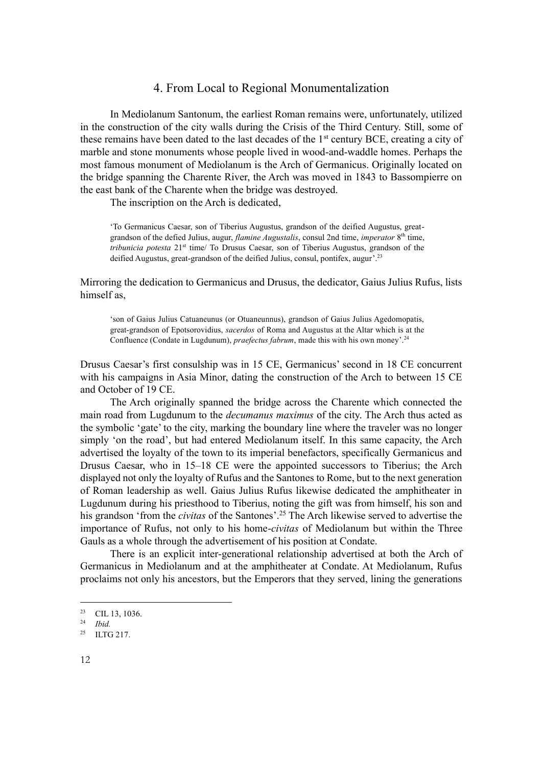### 4. From Local to Regional Monumentalization

In Mediolanum Santonum, the earliest Roman remains were, unfortunately, utilized in the construction of the city walls during the Crisis of the Third Century. Still, some of these remains have been dated to the last decades of the 1<sup>st</sup> century BCE, creating a city of marble and stone monuments whose people lived in wood-and-waddle homes. Perhaps the most famous monument of Mediolanum is the Arch of Germanicus. Originally located on the bridge spanning the Charente River, the Arch was moved in 1843 to Bassompierre on the east bank of the Charente when the bridge was destroyed.

The inscription on the Arch is dedicated,

'To Germanicus Caesar, son of Tiberius Augustus, grandson of the deified Augustus, greatgrandson of the defied Julius, augur, *flamine Augustalis*, consul 2nd time, *imperator* 8 th time, *tribunicia potesta* 21st time/ To Drusus Caesar, son of Tiberius Augustus, grandson of the deified Augustus, great-grandson of the deified Julius, consul, pontifex, augur'.<sup>23</sup>

Mirroring the dedication to Germanicus and Drusus, the dedicator, Gaius Julius Rufus, lists himself as,

'son of Gaius Julius Catuaneunus (or Otuaneunnus), grandson of Gaius Julius Agedomopatis, great-grandson of Epotsorovidius, *sacerdos* of Roma and Augustus at the Altar which is at the Confluence (Condate in Lugdunum), *praefectus fabrum*, made this with his own money'. 24

Drusus Caesar's first consulship was in 15 CE, Germanicus' second in 18 CE concurrent with his campaigns in Asia Minor, dating the construction of the Arch to between 15 CE and October of 19 CE.

The Arch originally spanned the bridge across the Charente which connected the main road from Lugdunum to the *decumanus maximus* of the city. The Arch thus acted as the symbolic 'gate' to the city, marking the boundary line where the traveler was no longer simply 'on the road', but had entered Mediolanum itself. In this same capacity, the Arch advertised the loyalty of the town to its imperial benefactors, specifically Germanicus and Drusus Caesar, who in 15–18 CE were the appointed successors to Tiberius; the Arch displayed not only the loyalty of Rufus and the Santones to Rome, but to the next generation of Roman leadership as well. Gaius Julius Rufus likewise dedicated the amphitheater in Lugdunum during his priesthood to Tiberius, noting the gift was from himself, his son and his grandson 'from the *civitas* of the Santones'. <sup>25</sup> The Arch likewise served to advertise the importance of Rufus, not only to his home-*civitas* of Mediolanum but within the Three Gauls as a whole through the advertisement of his position at Condate.

There is an explicit inter-generational relationship advertised at both the Arch of Germanicus in Mediolanum and at the amphitheater at Condate. At Mediolanum, Rufus proclaims not only his ancestors, but the Emperors that they served, lining the generations

<sup>23</sup> CIL 13, 1036.

<sup>24</sup> *Ibid.*

<sup>&</sup>lt;sup>25</sup> ILTG 217.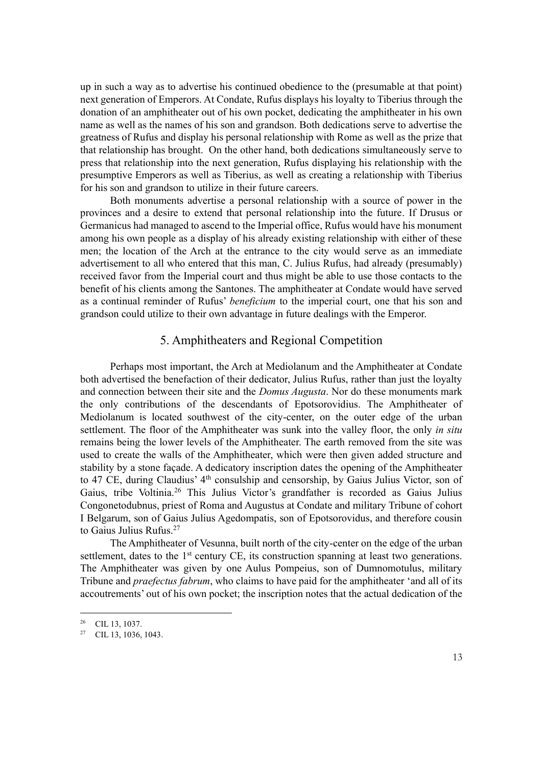up in such a way as to advertise his continued obedience to the (presumable at that point) next generation of Emperors. At Condate, Rufus displays his loyalty to Tiberius through the donation of an amphitheater out of his own pocket, dedicating the amphitheater in his own name as well as the names of his son and grandson. Both dedications serve to advertise the greatness of Rufus and display his personal relationship with Rome as well as the prize that that relationship has brought. On the other hand, both dedications simultaneously serve to press that relationship into the next generation, Rufus displaying his relationship with the presumptive Emperors as well as Tiberius, as well as creating a relationship with Tiberius for his son and grandson to utilize in their future careers.

Both monuments advertise a personal relationship with a source of power in the provinces and a desire to extend that personal relationship into the future. If Drusus or Germanicus had managed to ascend to the Imperial office, Rufus would have his monument among his own people as a display of his already existing relationship with either of these men; the location of the Arch at the entrance to the city would serve as an immediate advertisement to all who entered that this man, C. Julius Rufus, had already (presumably) received favor from the Imperial court and thus might be able to use those contacts to the benefit of his clients among the Santones. The amphitheater at Condate would have served as a continual reminder of Rufus' *beneficium* to the imperial court, one that his son and grandson could utilize to their own advantage in future dealings with the Emperor.

## 5. Amphitheaters and Regional Competition

Perhaps most important, the Arch at Mediolanum and the Amphitheater at Condate both advertised the benefaction of their dedicator, Julius Rufus, rather than just the loyalty and connection between their site and the *Domus Augusta*. Nor do these monuments mark the only contributions of the descendants of Epotsorovidius. The Amphitheater of Mediolanum is located southwest of the city-center, on the outer edge of the urban settlement. The floor of the Amphitheater was sunk into the valley floor, the only *in situ* remains being the lower levels of the Amphitheater. The earth removed from the site was used to create the walls of the Amphitheater, which were then given added structure and stability by a stone façade. A dedicatory inscription dates the opening of the Amphitheater to 47 CE, during Claudius' 4<sup>th</sup> consulship and censorship, by Gaius Julius Victor, son of Gaius, tribe Voltinia.<sup>26</sup> This Julius Victor's grandfather is recorded as Gaius Julius Congonetodubnus, priest of Roma and Augustus at Condate and military Tribune of cohort I Belgarum, son of Gaius Julius Agedompatis, son of Epotsorovidus, and therefore cousin to Gaius Julius Rufus.<sup>27</sup>

The Amphitheater of Vesunna, built north of the city-center on the edge of the urban settlement, dates to the 1<sup>st</sup> century CE, its construction spanning at least two generations. The Amphitheater was given by one Aulus Pompeius, son of Dumnomotulus, military Tribune and *praefectus fabrum*, who claims to have paid for the amphitheater 'and all of its accoutrements' out of his own pocket; the inscription notes that the actual dedication of the

<sup>26</sup> CIL 13, 1037.

<sup>27</sup> CIL 13, 1036, 1043.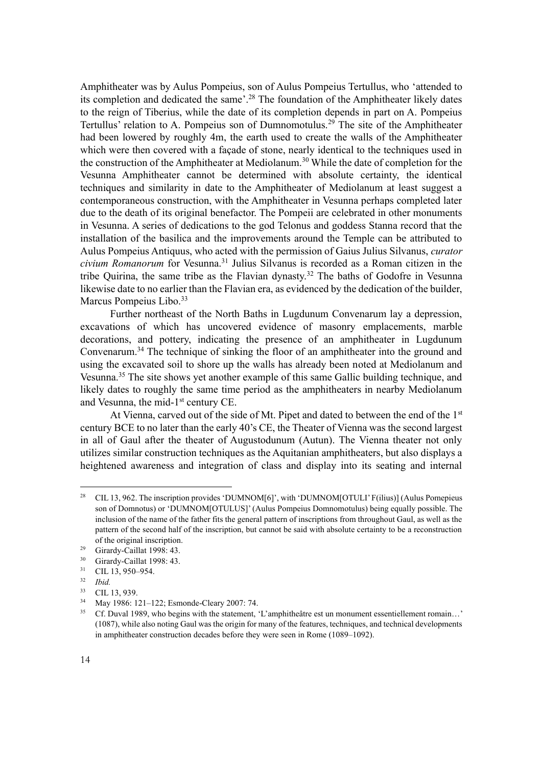Amphitheater was by Aulus Pompeius, son of Aulus Pompeius Tertullus, who 'attended to its completion and dedicated the same'. <sup>28</sup> The foundation of the Amphitheater likely dates to the reign of Tiberius, while the date of its completion depends in part on A. Pompeius Tertullus' relation to A. Pompeius son of Dumnomotulus.<sup>29</sup> The site of the Amphitheater had been lowered by roughly 4m, the earth used to create the walls of the Amphitheater which were then covered with a façade of stone, nearly identical to the techniques used in the construction of the Amphitheater at Mediolanum.<sup>30</sup> While the date of completion for the Vesunna Amphitheater cannot be determined with absolute certainty, the identical techniques and similarity in date to the Amphitheater of Mediolanum at least suggest a contemporaneous construction, with the Amphitheater in Vesunna perhaps completed later due to the death of its original benefactor. The Pompeii are celebrated in other monuments in Vesunna. A series of dedications to the god Telonus and goddess Stanna record that the installation of the basilica and the improvements around the Temple can be attributed to Aulus Pompeius Antiquus, who acted with the permission of Gaius Julius Silvanus, *curator civium Romanorum* for Vesunna.<sup>31</sup> Julius Silvanus is recorded as a Roman citizen in the tribe Quirina, the same tribe as the Flavian dynasty.<sup>32</sup> The baths of Godofre in Vesunna likewise date to no earlier than the Flavian era, as evidenced by the dedication of the builder, Marcus Pompeius Libo.<sup>33</sup>

Further northeast of the North Baths in Lugdunum Convenarum lay a depression, excavations of which has uncovered evidence of masonry emplacements, marble decorations, and pottery, indicating the presence of an amphitheater in Lugdunum Convenarum.<sup>34</sup> The technique of sinking the floor of an amphitheater into the ground and using the excavated soil to shore up the walls has already been noted at Mediolanum and Vesunna.<sup>35</sup> The site shows yet another example of this same Gallic building technique, and likely dates to roughly the same time period as the amphitheaters in nearby Mediolanum and Vesunna, the mid-1<sup>st</sup> century CE.

At Vienna, carved out of the side of Mt. Pipet and dated to between the end of the 1<sup>st</sup> century BCE to no later than the early 40's CE, the Theater of Vienna was the second largest in all of Gaul after the theater of Augustodunum (Autun). The Vienna theater not only utilizes similar construction techniques as the Aquitanian amphitheaters, but also displays a heightened awareness and integration of class and display into its seating and internal

<sup>&</sup>lt;sup>28</sup> CIL 13, 962. The inscription provides 'DUMNOM[6]', with 'DUMNOM[OTULI' F(ilius)] (Aulus Pomepieus son of Domnotus) or 'DUMNOM[OTULUS]' (Aulus Pompeius Domnomotulus) being equally possible. The inclusion of the name of the father fits the general pattern of inscriptions from throughout Gaul, as well as the pattern of the second half of the inscription, but cannot be said with absolute certainty to be a reconstruction of the original inscription.

<sup>&</sup>lt;sup>29</sup> Girardy-Caillat 1998: 43.<br><sup>30</sup> Girardy Caillat 1998: 42.

Girardy-Caillat 1998: 43.

<sup>31</sup> CIL 13, 950–954.

<sup>32</sup> *Ibid.*

 $\frac{33}{34}$  CIL 13, 939.

<sup>&</sup>lt;sup>34</sup> May 1986: 121–122; Esmonde-Cleary 2007: 74.<br><sup>35</sup> Cf. Duyel 1080, who bosing with the statement.

<sup>35</sup> Cf. Duval 1989, who begins with the statement, 'L'amphitheâtre est un monument essentiellement romain…' (1087), while also noting Gaul was the origin for many of the features, techniques, and technical developments in amphitheater construction decades before they were seen in Rome (1089–1092).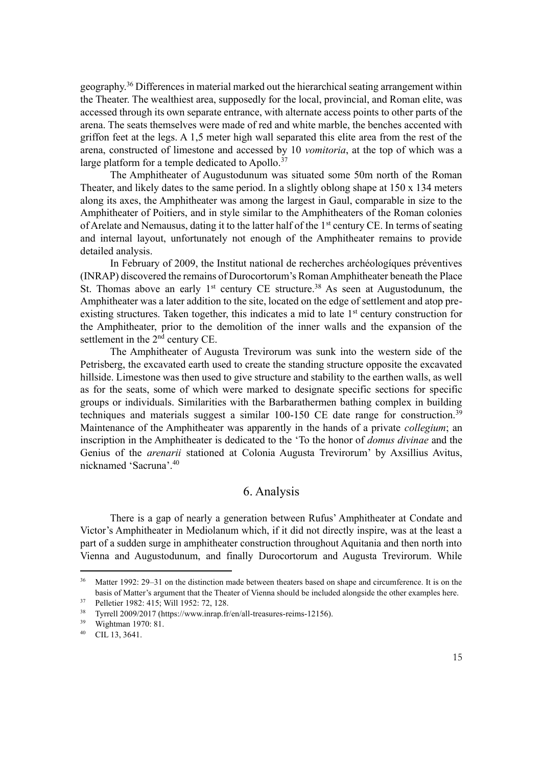geography.<sup>36</sup> Differences in material marked out the hierarchical seating arrangement within the Theater. The wealthiest area, supposedly for the local, provincial, and Roman elite, was accessed through its own separate entrance, with alternate access points to other parts of the arena. The seats themselves were made of red and white marble, the benches accented with griffon feet at the legs. A 1,5 meter high wall separated this elite area from the rest of the arena, constructed of limestone and accessed by 10 *vomitoria*, at the top of which was a large platform for a temple dedicated to Apollo.<sup>37</sup>

The Amphitheater of Augustodunum was situated some 50m north of the Roman Theater, and likely dates to the same period. In a slightly oblong shape at 150 x 134 meters along its axes, the Amphitheater was among the largest in Gaul, comparable in size to the Amphitheater of Poitiers, and in style similar to the Amphitheaters of the Roman colonies of Arelate and Nemausus, dating it to the latter half of the 1<sup>st</sup> century CE. In terms of seating and internal layout, unfortunately not enough of the Amphitheater remains to provide detailed analysis.

In February of 2009, the Institut national de recherches archéologíques préventives (INRAP) discovered the remains of Durocortorum's Roman Amphitheater beneath the Place St. Thomas above an early  $1<sup>st</sup>$  century CE structure.<sup>38</sup> As seen at Augustodunum, the Amphitheater was a later addition to the site, located on the edge of settlement and atop preexisting structures. Taken together, this indicates a mid to late 1<sup>st</sup> century construction for the Amphitheater, prior to the demolition of the inner walls and the expansion of the settlement in the 2<sup>nd</sup> century CE.

The Amphitheater of Augusta Trevirorum was sunk into the western side of the Petrisberg, the excavated earth used to create the standing structure opposite the excavated hillside. Limestone was then used to give structure and stability to the earthen walls, as well as for the seats, some of which were marked to designate specific sections for specific groups or individuals. Similarities with the Barbarathermen bathing complex in building techniques and materials suggest a similar 100-150 CE date range for construction.<sup>39</sup> Maintenance of the Amphitheater was apparently in the hands of a private *collegium*; an inscription in the Amphitheater is dedicated to the 'To the honor of *domus divinae* and the Genius of the *arenarii* stationed at Colonia Augusta Trevirorum' by Axsillius Avitus, nicknamed 'Sacruna'. 40

# 6. Analysis

There is a gap of nearly a generation between Rufus' Amphitheater at Condate and Victor's Amphitheater in Mediolanum which, if it did not directly inspire, was at the least a part of a sudden surge in amphitheater construction throughout Aquitania and then north into Vienna and Augustodunum, and finally Durocortorum and Augusta Trevirorum. While

<sup>&</sup>lt;sup>36</sup> Matter 1992: 29–31 on the distinction made between theaters based on shape and circumference. It is on the basis of Matter's argument that the Theater of Vienna should be included alongside the other examples here.

 $37$  Pelletier 1982: 415; Will 1952: 72, 128.

<sup>38</sup> Tyrrell 2009/2017 (https://www.inrap.fr/en/all-treasures-reims-12156).

<sup>39</sup> Wightman 1970: 81.

<sup>40</sup> CIL 13, 3641.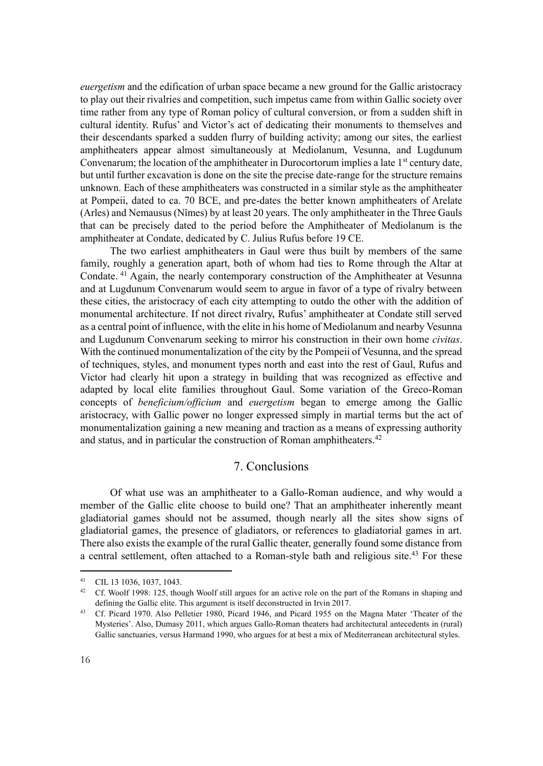*euergetism* and the edification of urban space became a new ground for the Gallic aristocracy to play out their rivalries and competition, such impetus came from within Gallic society over time rather from any type of Roman policy of cultural conversion, or from a sudden shift in cultural identity. Rufus' and Victor's act of dedicating their monuments to themselves and their descendants sparked a sudden flurry of building activity; among our sites, the earliest amphitheaters appear almost simultaneously at Mediolanum, Vesunna, and Lugdunum Convenarum; the location of the amphitheater in Durocortorum implies a late 1<sup>st</sup> century date, but until further excavation is done on the site the precise date-range for the structure remains unknown. Each of these amphitheaters was constructed in a similar style as the amphitheater at Pompeii, dated to ca. 70 BCE, and pre-dates the better known amphitheaters of Arelate (Arles) and Nemausus (Nîmes) by at least 20 years. The only amphitheater in the Three Gauls that can be precisely dated to the period before the Amphitheater of Mediolanum is the amphitheater at Condate, dedicated by C. Julius Rufus before 19 CE.

The two earliest amphitheaters in Gaul were thus built by members of the same family, roughly a generation apart, both of whom had ties to Rome through the Altar at Condate. <sup>41</sup> Again, the nearly contemporary construction of the Amphitheater at Vesunna and at Lugdunum Convenarum would seem to argue in favor of a type of rivalry between these cities, the aristocracy of each city attempting to outdo the other with the addition of monumental architecture. If not direct rivalry, Rufus' amphitheater at Condate still served as a central point of influence, with the elite in his home of Mediolanum and nearby Vesunna and Lugdunum Convenarum seeking to mirror his construction in their own home *civitas*. With the continued monumentalization of the city by the Pompeii of Vesunna, and the spread of techniques, styles, and monument types north and east into the rest of Gaul, Rufus and Victor had clearly hit upon a strategy in building that was recognized as effective and adapted by local elite families throughout Gaul. Some variation of the Greco-Roman concepts of *beneficium/officium* and *euergetism* began to emerge among the Gallic aristocracy, with Gallic power no longer expressed simply in martial terms but the act of monumentalization gaining a new meaning and traction as a means of expressing authority and status, and in particular the construction of Roman amphitheaters.<sup>42</sup>

# 7. Conclusions

Of what use was an amphitheater to a Gallo-Roman audience, and why would a member of the Gallic elite choose to build one? That an amphitheater inherently meant gladiatorial games should not be assumed, though nearly all the sites show signs of gladiatorial games, the presence of gladiators, or references to gladiatorial games in art. There also exists the example of the rural Gallic theater, generally found some distance from a central settlement, often attached to a Roman-style bath and religious site.<sup>43</sup> For these

<sup>41</sup> CIL 13 1036, 1037, 1043.

<sup>&</sup>lt;sup>42</sup> Cf. Woolf 1998: 125, though Woolf still argues for an active role on the part of the Romans in shaping and defining the Gallic elite. This argument is itself deconstructed in Irvin 2017.

<sup>43</sup> Cf. Picard 1970. Also Pelletier 1980, Picard 1946, and Picard 1955 on the Magna Mater 'Theater of the Mysteries'. Also, Dumasy 2011, which argues Gallo-Roman theaters had architectural antecedents in (rural) Gallic sanctuaries, versus Harmand 1990, who argues for at best a mix of Mediterranean architectural styles.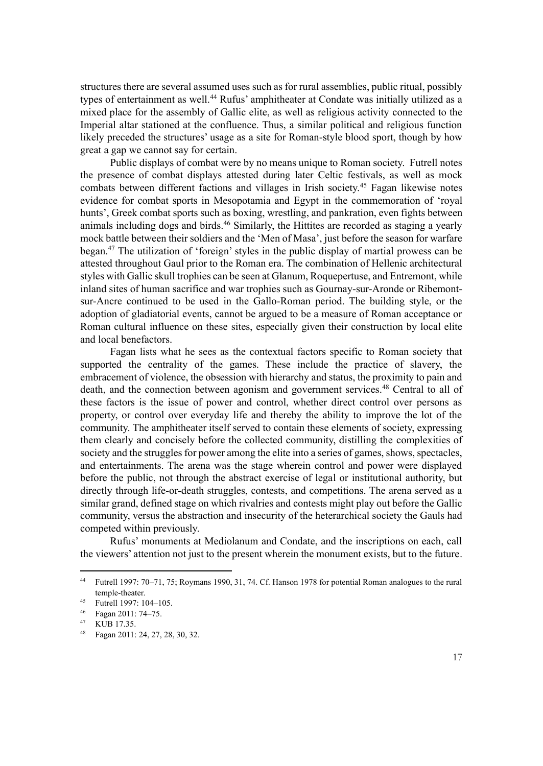structures there are several assumed uses such as for rural assemblies, public ritual, possibly types of entertainment as well.<sup>44</sup> Rufus' amphitheater at Condate was initially utilized as a mixed place for the assembly of Gallic elite, as well as religious activity connected to the Imperial altar stationed at the confluence. Thus, a similar political and religious function likely preceded the structures' usage as a site for Roman-style blood sport, though by how great a gap we cannot say for certain.

Public displays of combat were by no means unique to Roman society. Futrell notes the presence of combat displays attested during later Celtic festivals, as well as mock combats between different factions and villages in Irish society.<sup>45</sup> Fagan likewise notes evidence for combat sports in Mesopotamia and Egypt in the commemoration of 'royal hunts', Greek combat sports such as boxing, wrestling, and pankration, even fights between animals including dogs and birds.<sup>46</sup> Similarly, the Hittites are recorded as staging a yearly mock battle between their soldiers and the 'Men of Masa', just before the season for warfare began.<sup>47</sup> The utilization of 'foreign' styles in the public display of martial prowess can be attested throughout Gaul prior to the Roman era. The combination of Hellenic architectural styles with Gallic skull trophies can be seen at Glanum, Roquepertuse, and Entremont, while inland sites of human sacrifice and war trophies such as Gournay-sur-Aronde or Ribemontsur-Ancre continued to be used in the Gallo-Roman period. The building style, or the adoption of gladiatorial events, cannot be argued to be a measure of Roman acceptance or Roman cultural influence on these sites, especially given their construction by local elite and local benefactors.

Fagan lists what he sees as the contextual factors specific to Roman society that supported the centrality of the games. These include the practice of slavery, the embracement of violence, the obsession with hierarchy and status, the proximity to pain and death, and the connection between agonism and government services.<sup>48</sup> Central to all of these factors is the issue of power and control, whether direct control over persons as property, or control over everyday life and thereby the ability to improve the lot of the community. The amphitheater itself served to contain these elements of society, expressing them clearly and concisely before the collected community, distilling the complexities of society and the struggles for power among the elite into a series of games, shows, spectacles, and entertainments. The arena was the stage wherein control and power were displayed before the public, not through the abstract exercise of legal or institutional authority, but directly through life-or-death struggles, contests, and competitions. The arena served as a similar grand, defined stage on which rivalries and contests might play out before the Gallic community, versus the abstraction and insecurity of the heterarchical society the Gauls had competed within previously.

Rufus' monuments at Mediolanum and Condate, and the inscriptions on each, call the viewers' attention not just to the present wherein the monument exists, but to the future.

<sup>44</sup> Futrell 1997: 70–71, 75; Roymans 1990, 31, 74. Cf. Hanson 1978 for potential Roman analogues to the rural temple-theater.

<sup>45</sup> Futrell 1997: 104–105.

<sup>46</sup> Fagan 2011: 74–75.

<sup>47</sup> KUB 17.35.

<sup>48</sup> Fagan 2011: 24, 27, 28, 30, 32.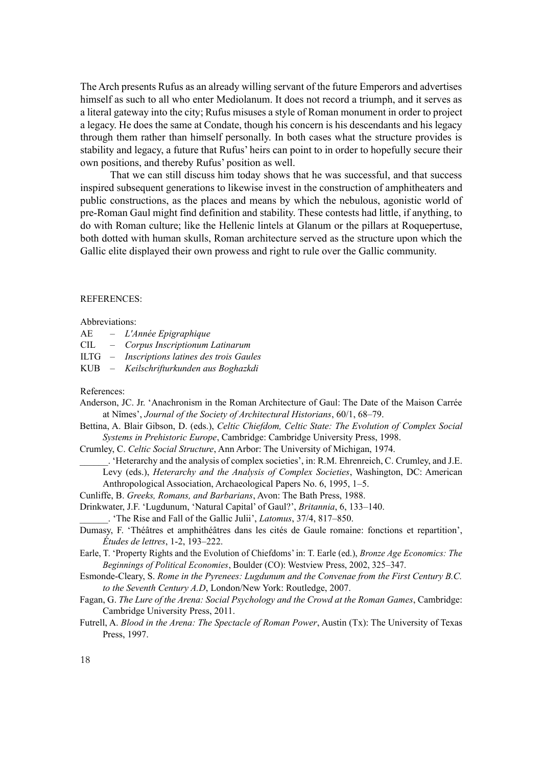The Arch presents Rufus as an already willing servant of the future Emperors and advertises himself as such to all who enter Mediolanum. It does not record a triumph, and it serves as a literal gateway into the city; Rufus misuses a style of Roman monument in order to project a legacy. He does the same at Condate, though his concern is his descendants and his legacy through them rather than himself personally. In both cases what the structure provides is stability and legacy, a future that Rufus' heirs can point to in order to hopefully secure their own positions, and thereby Rufus' position as well.

That we can still discuss him today shows that he was successful, and that success inspired subsequent generations to likewise invest in the construction of amphitheaters and public constructions, as the places and means by which the nebulous, agonistic world of pre-Roman Gaul might find definition and stability. These contests had little, if anything, to do with Roman culture; like the Hellenic lintels at Glanum or the pillars at Roquepertuse, both dotted with human skulls, Roman architecture served as the structure upon which the Gallic elite displayed their own prowess and right to rule over the Gallic community.

#### REFERENCES:

#### Abbreviations:

- AE *L'Année Epigraphique*
- CIL *Corpus Inscriptionum Latinarum*
- ILTG *Inscriptions latines des trois Gaules*
- KUB *Keilschrifturkunden aus Boghazkdi*

#### References:

- Anderson, JC. Jr. 'Anachronism in the Roman Architecture of Gaul: The Date of the Maison Carrée at Nîmes', *Journal of the Society of Architectural Historians*, 60/1, 68–79.
- Bettina, A. Blair Gibson, D. (eds.), *Celtic Chiefdom, Celtic State: The Evolution of Complex Social Systems in Prehistoric Europe*, Cambridge: Cambridge University Press, 1998.

Crumley, C. *Celtic Social Structure*, Ann Arbor: The University of Michigan, 1974.

- \_\_\_\_\_\_. 'Heterarchy and the analysis of complex societies', in: R.M. Ehrenreich, C. Crumley, and J.E. Levy (eds.), *Heterarchy and the Analysis of Complex Societies*, Washington, DC: American Anthropological Association, Archaeological Papers No. 6, 1995, 1–5.
- Cunliffe, B. *Greeks, Romans, and Barbarians*, Avon: The Bath Press, 1988.
- Drinkwater, J.F. 'Lugdunum, 'Natural Capital' of Gaul?', *Britannia*, 6, 133–140.
- \_\_\_\_\_\_. 'The Rise and Fall of the Gallic Julii', *Latomus*, 37/4, 817–850.
- Dumasy, F. 'Théâtres et amphithéâtres dans les cités de Gaule romaine: fonctions et repartition', *Études de lettres*, 1-2, 193–222.
- Earle, T. 'Property Rights and the Evolution of Chiefdoms' in: T. Earle (ed.), *Bronze Age Economics: The Beginnings of Political Economies*, Boulder (CO): Westview Press, 2002, 325–347.
- Esmonde-Cleary, S. *Rome in the Pyrenees: Lugdunum and the Convenae from the First Century B.C. to the Seventh Century A.D*, London/New York: Routledge, 2007.
- Fagan, G. *The Lure of the Arena: Social Psychology and the Crowd at the Roman Games*, Cambridge: Cambridge University Press, 2011.
- Futrell, A. *Blood in the Arena: The Spectacle of Roman Power*, Austin (Tx): The University of Texas Press, 1997.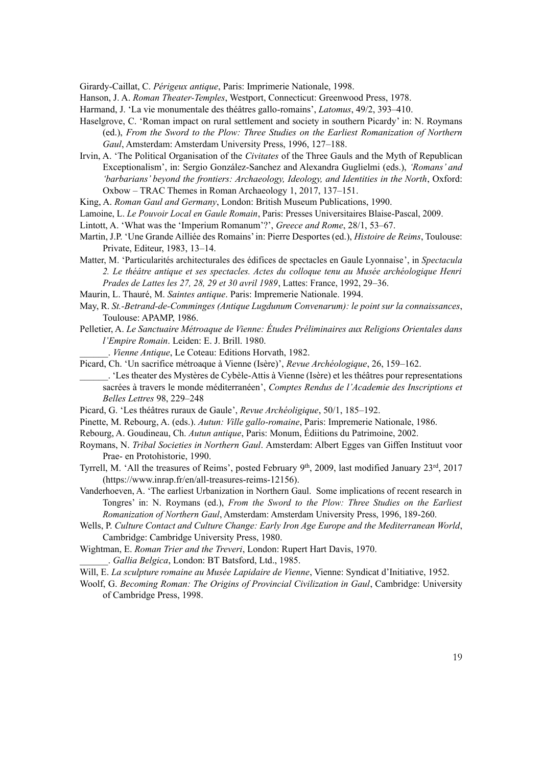Girardy-Caillat, C. *Périgeux antique*, Paris: Imprimerie Nationale, 1998.

Hanson, J. A. *Roman Theater-Temples*, Westport, Connecticut: Greenwood Press, 1978.

Harmand, J. 'La vie monumentale des théâtres gallo-romains', *Latomus*, 49/2, 393–410.

- Haselgrove, C. 'Roman impact on rural settlement and society in southern Picardy' in: N. Roymans (ed.), *From the Sword to the Plow: Three Studies on the Earliest Romanization of Northern Gaul*, Amsterdam: Amsterdam University Press, 1996, 127–188.
- Irvin, A. 'The Political Organisation of the *Civitates* of the Three Gauls and the Myth of Republican Exceptionalism', in: Sergio González-Sanchez and Alexandra Guglielmi (eds.), *'Romans' and 'barbarians' beyond the frontiers: Archaeology, Ideology, and Identities in the North*, Oxford: Oxbow – TRAC Themes in Roman Archaeology 1, 2017, 137–151.

King, A. *Roman Gaul and Germany*, London: British Museum Publications, 1990.

Lamoine, L. *Le Pouvoir Local en Gaule Romain*, Paris: Presses Universitaires Blaise-Pascal, 2009.

- Lintott, A. 'What was the 'Imperium Romanum'?', *Greece and Rome*, 28/1, 53–67.
- Martin, J.P. 'Une Grande Ailliée des Romains'in: Pierre Desportes (ed.), *Histoire de Reims*, Toulouse: Private, Editeur, 1983, 13–14.
- Matter, M. 'Particularités architecturales des édifices de spectacles en Gaule Lyonnaise', in *Spectacula 2. Le théâtre antique et ses spectacles. Actes du colloque tenu au Musée archéologique Henri Prades de Lattes les 27, 28, 29 et 30 avril 1989*, Lattes: France, 1992, 29–36.
- Maurin, L. Thauré, M. *Saintes antique*. Paris: Impremerie Nationale. 1994.
- May, R. *St.-Betrand-de-Comminges (Antique Lugdunum Convenarum): le point sur la connaissances*, Toulouse: APAMP, 1986.
- Pelletier, A. *Le Sanctuaire Métroaque de Vienne: Études Préliminaires aux Religions Orientales dans l'Empire Romain*. Leiden: E. J. Brill. 1980.
	- \_\_\_\_\_\_. *Vienne Antique*, Le Coteau: Editions Horvath, 1982.
- Picard, Ch. 'Un sacrifice métroaque à Vienne (Isère)', *Revue Archéologique*, 26, 159–162.
- \_\_\_\_\_\_. 'Les theater des Mystères de Cybèle-Attis à Vienne (Isère) et les théâtres pour representations sacrées à travers le monde méditerranéen', *Comptes Rendus de l'Academie des Inscriptions et Belles Lettres* 98, 229–248
- Picard, G. 'Les théâtres ruraux de Gaule', *Revue Archéoligique*, 50/1, 185–192.
- Pinette, M. Rebourg, A. (eds.). *Autun: Ville gallo-romaine*, Paris: Impremerie Nationale, 1986.
- Rebourg, A. Goudineau, Ch. *Autun antique*, Paris: Monum, Édiitions du Patrimoine, 2002.
- Roymans, N. *Tribal Societies in Northern Gaul*. Amsterdam: Albert Egges van Giffen Instituut voor Prae- en Protohistorie, 1990.
- Tyrrell, M. 'All the treasures of Reims', posted February 9<sup>th</sup>, 2009, last modified January 23<sup>rd</sup>, 2017 (https://www.inrap.fr/en/all-treasures-reims-12156).
- Vanderhoeven, A. 'The earliest Urbanization in Northern Gaul. Some implications of recent research in Tongres' in: N. Roymans (ed.), *From the Sword to the Plow: Three Studies on the Earliest Romanization of Northern Gaul*, Amsterdam: Amsterdam University Press, 1996, 189-260.
- Wells, P. *Culture Contact and Culture Change: Early Iron Age Europe and the Mediterranean World*, Cambridge: Cambridge University Press, 1980.
- Wightman, E. *Roman Trier and the Treveri*, London: Rupert Hart Davis, 1970.
	- \_\_\_\_\_\_. *Gallia Belgica*, London: BT Batsford, Ltd., 1985.
- Will, E. *La sculpture romaine au Musée Lapidaire de Vienne*, Vienne: Syndicat d'Initiative, 1952.
- Woolf, G. *Becoming Roman: The Origins of Provincial Civilization in Gaul*, Cambridge: University of Cambridge Press, 1998.